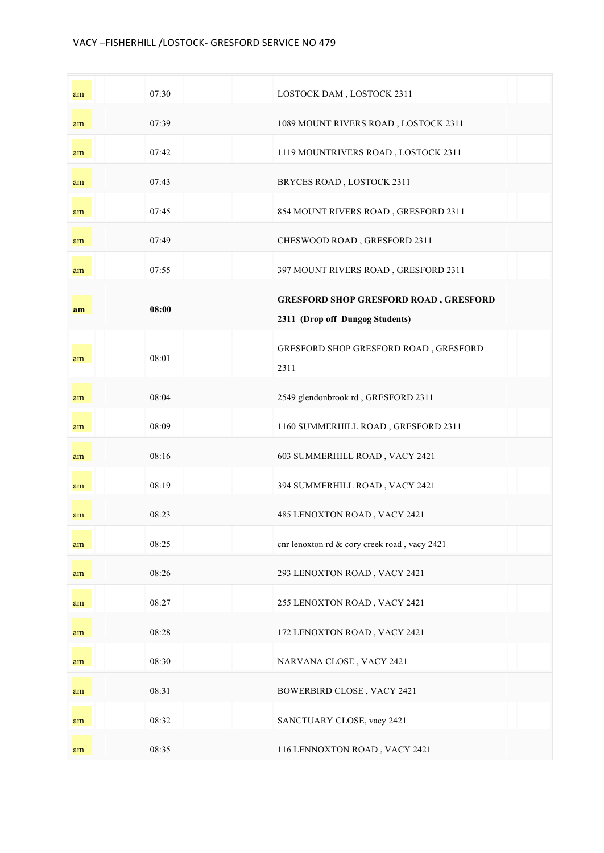## VACY -FISHERHILL /LOSTOCK- GRESFORD SERVICE NO 479

| am | 07:30 | LOSTOCK DAM, LOSTOCK 2311                                                       |
|----|-------|---------------------------------------------------------------------------------|
| am | 07:39 | 1089 MOUNT RIVERS ROAD, LOSTOCK 2311                                            |
| am | 07:42 | 1119 MOUNTRIVERS ROAD, LOSTOCK 2311                                             |
| am | 07:43 | BRYCES ROAD, LOSTOCK 2311                                                       |
| am | 07:45 | 854 MOUNT RIVERS ROAD, GRESFORD 2311                                            |
| am | 07:49 | CHESWOOD ROAD, GRESFORD 2311                                                    |
| am | 07:55 | 397 MOUNT RIVERS ROAD, GRESFORD 2311                                            |
| am | 08:00 | <b>GRESFORD SHOP GRESFORD ROAD, GRESFORD</b><br>2311 (Drop off Dungog Students) |
| am | 08:01 | GRESFORD SHOP GRESFORD ROAD, GRESFORD<br>2311                                   |
| am | 08:04 | 2549 glendonbrook rd, GRESFORD 2311                                             |
| am | 08:09 | 1160 SUMMERHILL ROAD, GRESFORD 2311                                             |
| am | 08:16 | 603 SUMMERHILL ROAD, VACY 2421                                                  |
| am | 08:19 | 394 SUMMERHILL ROAD, VACY 2421                                                  |
| am | 08:23 | 485 LENOXTON ROAD, VACY 2421                                                    |
| am | 08:25 | cnr lenoxton rd & cory creek road, vacy 2421                                    |
| am | 08:26 | 293 LENOXTON ROAD, VACY 2421                                                    |
| am | 08:27 | 255 LENOXTON ROAD, VACY 2421                                                    |
| am | 08:28 | 172 LENOXTON ROAD, VACY 2421                                                    |
| am | 08:30 | NARVANA CLOSE, VACY 2421                                                        |
| am | 08:31 | BOWERBIRD CLOSE, VACY 2421                                                      |
| am | 08:32 | SANCTUARY CLOSE, vacy 2421                                                      |
| am | 08:35 | 116 LENNOXTON ROAD, VACY 2421                                                   |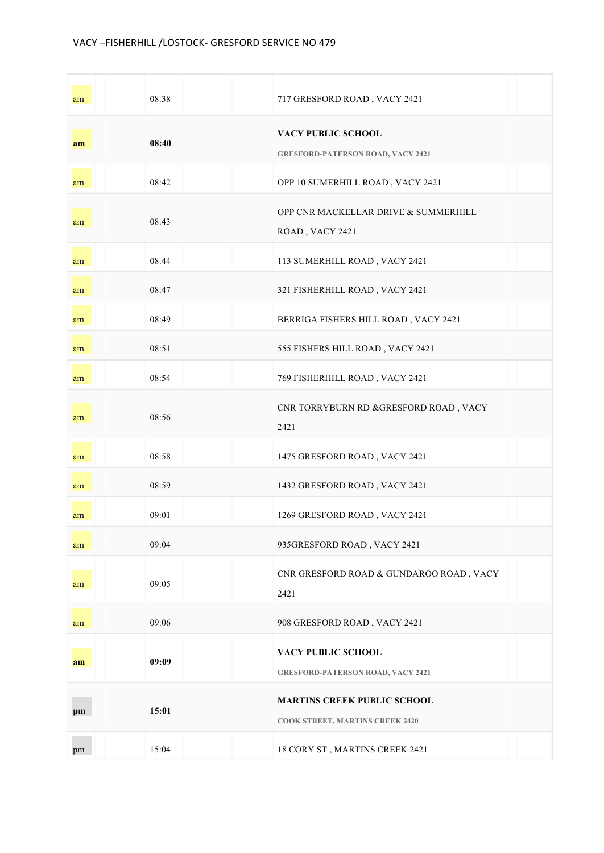| am | 08:38 | 717 GRESFORD ROAD, VACY 2421                                                 |
|----|-------|------------------------------------------------------------------------------|
| am | 08:40 | VACY PUBLIC SCHOOL<br><b>GRESFORD-PATERSON ROAD, VACY 2421</b>               |
| am | 08:42 | OPP 10 SUMERHILL ROAD, VACY 2421                                             |
| am | 08:43 | OPP CNR MACKELLAR DRIVE & SUMMERHILL<br>ROAD, VACY 2421                      |
| am | 08:44 | 113 SUMERHILL ROAD, VACY 2421                                                |
| am | 08:47 | 321 FISHERHILL ROAD, VACY 2421                                               |
| am | 08:49 | BERRIGA FISHERS HILL ROAD, VACY 2421                                         |
| am | 08:51 | 555 FISHERS HILL ROAD, VACY 2421                                             |
| am | 08:54 | 769 FISHERHILL ROAD, VACY 2421                                               |
| am | 08:56 | CNR TORRYBURN RD &GRESFORD ROAD, VACY<br>2421                                |
| am | 08:58 | 1475 GRESFORD ROAD, VACY 2421                                                |
| am | 08:59 | 1432 GRESFORD ROAD, VACY 2421                                                |
| am | 09:01 | 1269 GRESFORD ROAD, VACY 2421                                                |
| am | 09:04 | 935GRESFORD ROAD, VACY 2421                                                  |
| am | 09:05 | CNR GRESFORD ROAD & GUNDAROO ROAD, VACY<br>2421                              |
| am | 09:06 | 908 GRESFORD ROAD, VACY 2421                                                 |
| am | 09:09 | VACY PUBLIC SCHOOL<br><b>GRESFORD-PATERSON ROAD, VACY 2421</b>               |
| pm | 15:01 | <b>MARTINS CREEK PUBLIC SCHOOL</b><br><b>COOK STREET, MARTINS CREEK 2420</b> |
| pm | 15:04 | 18 CORY ST, MARTINS CREEK 2421                                               |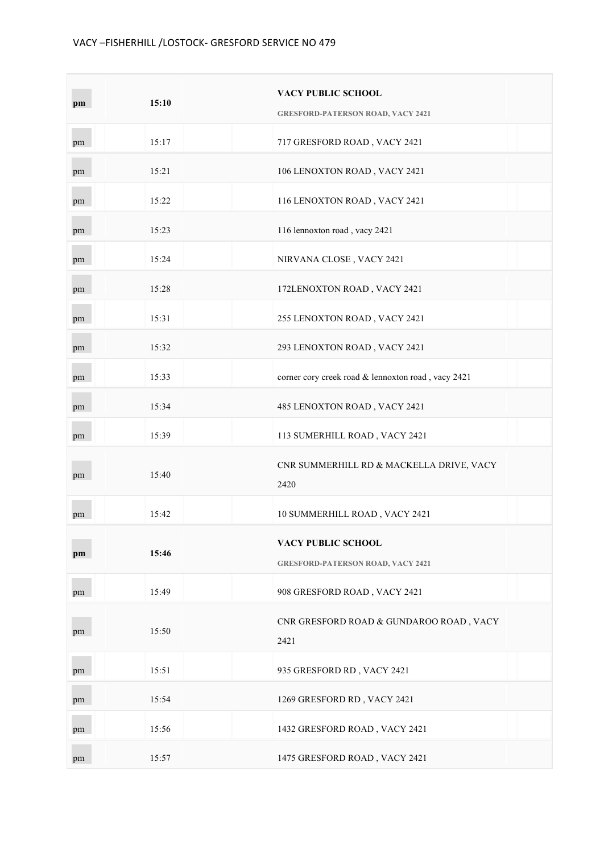| pm | 15:10 | <b>VACY PUBLIC SCHOOL</b><br><b>GRESFORD-PATERSON ROAD, VACY 2421</b> |
|----|-------|-----------------------------------------------------------------------|
| pm | 15:17 | 717 GRESFORD ROAD, VACY 2421                                          |
| pm | 15:21 | 106 LENOXTON ROAD, VACY 2421                                          |
| pm | 15:22 | 116 LENOXTON ROAD, VACY 2421                                          |
| pm | 15:23 | 116 lennoxton road, vacy 2421                                         |
| pm | 15:24 | NIRVANA CLOSE, VACY 2421                                              |
| pm | 15:28 | 172LENOXTON ROAD, VACY 2421                                           |
| pm | 15:31 | 255 LENOXTON ROAD, VACY 2421                                          |
| pm | 15:32 | 293 LENOXTON ROAD, VACY 2421                                          |
| pm | 15:33 | corner cory creek road & lennoxton road, vacy 2421                    |
| pm | 15:34 | 485 LENOXTON ROAD, VACY 2421                                          |
| pm | 15:39 | 113 SUMERHILL ROAD, VACY 2421                                         |
| pm | 15:40 | CNR SUMMERHILL RD & MACKELLA DRIVE, VACY<br>2420                      |
| pm | 15:42 | 10 SUMMERHILL ROAD, VACY 2421                                         |
| pm | 15:46 | VACY PUBLIC SCHOOL<br><b>GRESFORD-PATERSON ROAD, VACY 2421</b>        |
| pm | 15:49 | 908 GRESFORD ROAD, VACY 2421                                          |
| pm | 15:50 | CNR GRESFORD ROAD & GUNDAROO ROAD, VACY<br>2421                       |
| pm | 15:51 | 935 GRESFORD RD, VACY 2421                                            |
| pm | 15:54 | 1269 GRESFORD RD, VACY 2421                                           |
| pm | 15:56 | 1432 GRESFORD ROAD, VACY 2421                                         |
| pm | 15:57 | 1475 GRESFORD ROAD, VACY 2421                                         |